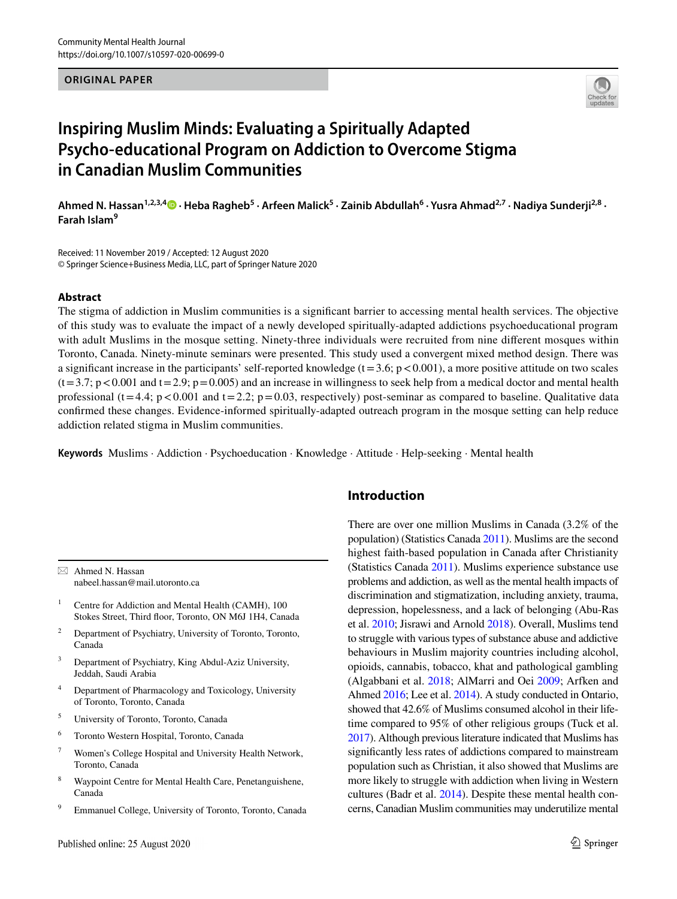#### **ORIGINAL PAPER**



# **Inspiring Muslim Minds: Evaluating a Spiritually Adapted Psycho‑educational Program on Addiction to Overcome Stigma in Canadian Muslim Communities**

Ahmed N. Hassan<sup>1,2,3,[4](http://orcid.org/0000-0003-0115-1858)</sup> D · Heba Ragheb<sup>5</sup> · Arfeen Malick<sup>5</sup> · Zainib Abdullah<sup>6</sup> · Yusra Ahmad<sup>2,7</sup> · Nadiya Sunderji<sup>2,8</sup> · **Farah Islam<sup>9</sup>**

Received: 11 November 2019 / Accepted: 12 August 2020 © Springer Science+Business Media, LLC, part of Springer Nature 2020

#### **Abstract**

The stigma of addiction in Muslim communities is a signifcant barrier to accessing mental health services. The objective of this study was to evaluate the impact of a newly developed spiritually-adapted addictions psychoeducational program with adult Muslims in the mosque setting. Ninety-three individuals were recruited from nine diferent mosques within Toronto, Canada. Ninety-minute seminars were presented. This study used a convergent mixed method design. There was a significant increase in the participants' self-reported knowledge  $(t=3.6; p<0.001)$ , a more positive attitude on two scales  $(t=3.7; p<0.001$  and  $t=2.9; p=0.005$ ) and an increase in willingness to seek help from a medical doctor and mental health professional (t=4.4; p<0.001 and t=2.2; p=0.03, respectively) post-seminar as compared to baseline. Qualitative data confrmed these changes. Evidence-informed spiritually-adapted outreach program in the mosque setting can help reduce addiction related stigma in Muslim communities.

**Keywords** Muslims · Addiction · Psychoeducation · Knowledge · Attitude · Help-seeking · Mental health

 $\boxtimes$  Ahmed N. Hassan nabeel.hassan@mail.utoronto.ca

- <sup>1</sup> Centre for Addiction and Mental Health (CAMH), 100 Stokes Street, Third floor, Toronto, ON M6J 1H4, Canada
- <sup>2</sup> Department of Psychiatry, University of Toronto, Toronto, Canada
- <sup>3</sup> Department of Psychiatry, King Abdul-Aziz University, Jeddah, Saudi Arabia
- <sup>4</sup> Department of Pharmacology and Toxicology, University of Toronto, Toronto, Canada
- <sup>5</sup> University of Toronto, Toronto, Canada
- <sup>6</sup> Toronto Western Hospital, Toronto, Canada
- <sup>7</sup> Women's College Hospital and University Health Network, Toronto, Canada
- <sup>8</sup> Waypoint Centre for Mental Health Care, Penetanguishene, Canada
- <sup>9</sup> Emmanuel College, University of Toronto, Toronto, Canada

## **Introduction**

There are over one million Muslims in Canada (3.2% of the population) (Statistics Canada [2011\)](#page-9-0). Muslims are the second highest faith-based population in Canada after Christianity (Statistics Canada [2011](#page-9-0)). Muslims experience substance use problems and addiction, as well as the mental health impacts of discrimination and stigmatization, including anxiety, trauma, depression, hopelessness, and a lack of belonging (Abu-Ras et al. [2010](#page-9-1); Jisrawi and Arnold [2018](#page-9-2)). Overall, Muslims tend to struggle with various types of substance abuse and addictive behaviours in Muslim majority countries including alcohol, opioids, cannabis, tobacco, khat and pathological gambling (Algabbani et al. [2018;](#page-9-3) AlMarri and Oei [2009;](#page-9-4) Arfken and Ahmed [2016;](#page-9-5) Lee et al. [2014](#page-9-6)). A study conducted in Ontario, showed that 42.6% of Muslims consumed alcohol in their lifetime compared to 95% of other religious groups (Tuck et al. [2017](#page-10-0)). Although previous literature indicated that Muslims has signifcantly less rates of addictions compared to mainstream population such as Christian, it also showed that Muslims are more likely to struggle with addiction when living in Western cultures (Badr et al. [2014](#page-9-7)). Despite these mental health concerns, Canadian Muslim communities may underutilize mental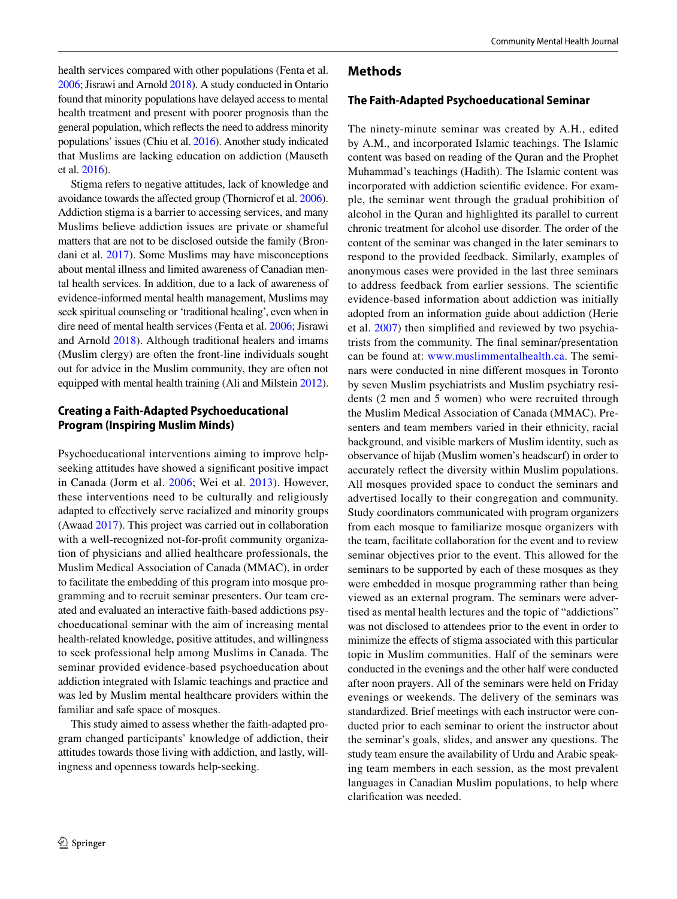health services compared with other populations (Fenta et al. [2006](#page-9-8); Jisrawi and Arnold [2018\)](#page-9-2). A study conducted in Ontario found that minority populations have delayed access to mental health treatment and present with poorer prognosis than the general population, which refects the need to address minority populations' issues (Chiu et al. [2016\)](#page-9-9). Another study indicated that Muslims are lacking education on addiction (Mauseth et al. [2016\)](#page-9-10).

Stigma refers to negative attitudes, lack of knowledge and avoidance towards the afected group (Thornicrof et al. [2006](#page-9-11)). Addiction stigma is a barrier to accessing services, and many Muslims believe addiction issues are private or shameful matters that are not to be disclosed outside the family (Brondani et al. [2017\)](#page-9-12). Some Muslims may have misconceptions about mental illness and limited awareness of Canadian mental health services. In addition, due to a lack of awareness of evidence-informed mental health management, Muslims may seek spiritual counseling or 'traditional healing', even when in dire need of mental health services (Fenta et al. [2006;](#page-9-8) Jisrawi and Arnold [2018\)](#page-9-2). Although traditional healers and imams (Muslim clergy) are often the front-line individuals sought out for advice in the Muslim community, they are often not equipped with mental health training (Ali and Milstein [2012](#page-9-13)).

## **Creating a Faith‑Adapted Psychoeducational Program (Inspiring Muslim Minds)**

Psychoeducational interventions aiming to improve helpseeking attitudes have showed a signifcant positive impact in Canada (Jorm et al. [2006](#page-9-14); Wei et al. [2013](#page-10-1)). However, these interventions need to be culturally and religiously adapted to efectively serve racialized and minority groups (Awaad [2017](#page-9-15)). This project was carried out in collaboration with a well-recognized not-for-proft community organization of physicians and allied healthcare professionals, the Muslim Medical Association of Canada (MMAC), in order to facilitate the embedding of this program into mosque programming and to recruit seminar presenters. Our team created and evaluated an interactive faith-based addictions psychoeducational seminar with the aim of increasing mental health-related knowledge, positive attitudes, and willingness to seek professional help among Muslims in Canada. The seminar provided evidence-based psychoeducation about addiction integrated with Islamic teachings and practice and was led by Muslim mental healthcare providers within the familiar and safe space of mosques.

This study aimed to assess whether the faith-adapted program changed participants' knowledge of addiction, their attitudes towards those living with addiction, and lastly, willingness and openness towards help-seeking.

## **Methods**

## **The Faith‑Adapted Psychoeducational Seminar**

The ninety-minute seminar was created by A.H., edited by A.M., and incorporated Islamic teachings. The Islamic content was based on reading of the Quran and the Prophet Muhammad's teachings (Hadith). The Islamic content was incorporated with addiction scientifc evidence. For example, the seminar went through the gradual prohibition of alcohol in the Quran and highlighted its parallel to current chronic treatment for alcohol use disorder. The order of the content of the seminar was changed in the later seminars to respond to the provided feedback. Similarly, examples of anonymous cases were provided in the last three seminars to address feedback from earlier sessions. The scientifc evidence-based information about addiction was initially adopted from an information guide about addiction (Herie et al. [2007\)](#page-9-16) then simplifed and reviewed by two psychiatrists from the community. The fnal seminar/presentation can be found at: [www.muslimmentalhealth.ca.](http://www.muslimmentalhealth.ca) The seminars were conducted in nine diferent mosques in Toronto by seven Muslim psychiatrists and Muslim psychiatry residents (2 men and 5 women) who were recruited through the Muslim Medical Association of Canada (MMAC). Presenters and team members varied in their ethnicity, racial background, and visible markers of Muslim identity, such as observance of hijab (Muslim women's headscarf) in order to accurately refect the diversity within Muslim populations. All mosques provided space to conduct the seminars and advertised locally to their congregation and community. Study coordinators communicated with program organizers from each mosque to familiarize mosque organizers with the team, facilitate collaboration for the event and to review seminar objectives prior to the event. This allowed for the seminars to be supported by each of these mosques as they were embedded in mosque programming rather than being viewed as an external program. The seminars were advertised as mental health lectures and the topic of "addictions" was not disclosed to attendees prior to the event in order to minimize the efects of stigma associated with this particular topic in Muslim communities. Half of the seminars were conducted in the evenings and the other half were conducted after noon prayers. All of the seminars were held on Friday evenings or weekends. The delivery of the seminars was standardized. Brief meetings with each instructor were conducted prior to each seminar to orient the instructor about the seminar's goals, slides, and answer any questions. The study team ensure the availability of Urdu and Arabic speaking team members in each session, as the most prevalent languages in Canadian Muslim populations, to help where clarifcation was needed.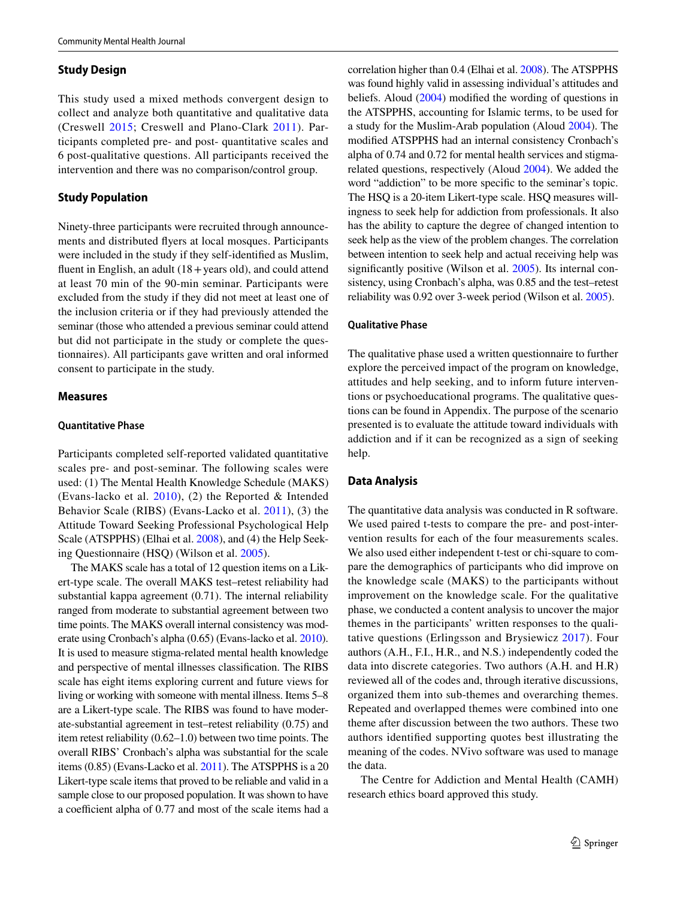#### **Study Design**

This study used a mixed methods convergent design to collect and analyze both quantitative and qualitative data (Creswell [2015](#page-9-17); Creswell and Plano-Clark [2011\)](#page-9-18). Participants completed pre- and post- quantitative scales and 6 post-qualitative questions. All participants received the intervention and there was no comparison/control group.

#### **Study Population**

Ninety-three participants were recruited through announcements and distributed fyers at local mosques. Participants were included in the study if they self-identifed as Muslim, fluent in English, an adult  $(18 + \text{years old})$ , and could attend at least 70 min of the 90-min seminar. Participants were excluded from the study if they did not meet at least one of the inclusion criteria or if they had previously attended the seminar (those who attended a previous seminar could attend but did not participate in the study or complete the questionnaires). All participants gave written and oral informed consent to participate in the study.

#### **Measures**

#### **Quantitative Phase**

Participants completed self-reported validated quantitative scales pre- and post-seminar. The following scales were used: (1) The Mental Health Knowledge Schedule (MAKS) (Evans-lacko et al.  $2010$ ), (2) the Reported & Intended Behavior Scale (RIBS) (Evans-Lacko et al. [2011\)](#page-9-20), (3) the Attitude Toward Seeking Professional Psychological Help Scale (ATSPPHS) (Elhai et al. [2008\)](#page-9-21), and (4) the Help Seeking Questionnaire (HSQ) (Wilson et al. [2005\)](#page-10-2).

The MAKS scale has a total of 12 question items on a Likert-type scale. The overall MAKS test–retest reliability had substantial kappa agreement (0.71). The internal reliability ranged from moderate to substantial agreement between two time points. The MAKS overall internal consistency was moderate using Cronbach's alpha (0.65) (Evans-lacko et al. [2010](#page-9-19)). It is used to measure stigma-related mental health knowledge and perspective of mental illnesses classifcation. The RIBS scale has eight items exploring current and future views for living or working with someone with mental illness. Items 5–8 are a Likert-type scale. The RIBS was found to have moderate-substantial agreement in test–retest reliability (0.75) and item retest reliability (0.62–1.0) between two time points. The overall RIBS' Cronbach's alpha was substantial for the scale items (0.85) (Evans-Lacko et al. [2011\)](#page-9-20). The ATSPPHS is a 20 Likert-type scale items that proved to be reliable and valid in a sample close to our proposed population. It was shown to have a coefficient alpha of 0.77 and most of the scale items had a correlation higher than 0.4 (Elhai et al. [2008](#page-9-21)). The ATSPPHS was found highly valid in assessing individual's attitudes and beliefs. Aloud [\(2004](#page-9-22)) modifed the wording of questions in the ATSPPHS, accounting for Islamic terms, to be used for a study for the Muslim-Arab population (Aloud [2004](#page-9-22)). The modifed ATSPPHS had an internal consistency Cronbach's alpha of 0.74 and 0.72 for mental health services and stigmarelated questions, respectively (Aloud [2004\)](#page-9-22). We added the word "addiction" to be more specifc to the seminar's topic. The HSQ is a 20-item Likert-type scale. HSQ measures willingness to seek help for addiction from professionals. It also has the ability to capture the degree of changed intention to seek help as the view of the problem changes. The correlation between intention to seek help and actual receiving help was significantly positive (Wilson et al. [2005\)](#page-10-2). Its internal consistency, using Cronbach's alpha, was 0.85 and the test–retest reliability was 0.92 over 3-week period (Wilson et al. [2005](#page-10-2)).

#### **Qualitative Phase**

The qualitative phase used a written questionnaire to further explore the perceived impact of the program on knowledge, attitudes and help seeking, and to inform future interventions or psychoeducational programs. The qualitative questions can be found in Appendix. The purpose of the scenario presented is to evaluate the attitude toward individuals with addiction and if it can be recognized as a sign of seeking help.

#### **Data Analysis**

The quantitative data analysis was conducted in R software. We used paired t-tests to compare the pre- and post-intervention results for each of the four measurements scales. We also used either independent t-test or chi-square to compare the demographics of participants who did improve on the knowledge scale (MAKS) to the participants without improvement on the knowledge scale. For the qualitative phase, we conducted a content analysis to uncover the major themes in the participants' written responses to the qualitative questions (Erlingsson and Brysiewicz [2017](#page-9-23)). Four authors (A.H., F.I., H.R., and N.S.) independently coded the data into discrete categories. Two authors (A.H. and H.R) reviewed all of the codes and, through iterative discussions, organized them into sub-themes and overarching themes. Repeated and overlapped themes were combined into one theme after discussion between the two authors. These two authors identifed supporting quotes best illustrating the meaning of the codes. NVivo software was used to manage the data.

The Centre for Addiction and Mental Health (CAMH) research ethics board approved this study.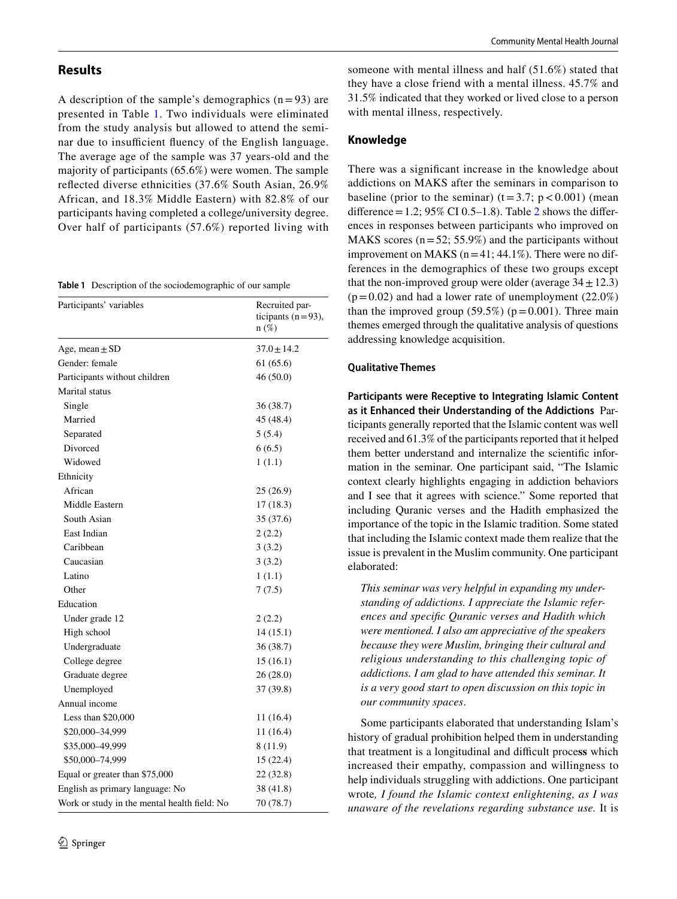## **Results**

A description of the sample's demographics  $(n=93)$  are presented in Table [1](#page-3-0). Two individuals were eliminated from the study analysis but allowed to attend the seminar due to insufficient fluency of the English language. The average age of the sample was 37 years-old and the majority of participants (65.6%) were women. The sample refected diverse ethnicities (37.6% South Asian, 26.9% African, and 18.3% Middle Eastern) with 82.8% of our participants having completed a college/university degree. Over half of participants (57.6%) reported living with

<span id="page-3-0"></span>**Table 1** Description of the sociodemographic of our sample

| Participants' variables                      | Recruited par-<br>ticipants $(n=93)$ ,<br>$n(\%)$ |  |
|----------------------------------------------|---------------------------------------------------|--|
| Age, mean $\pm$ SD                           | $37.0 \pm 14.2$                                   |  |
| Gender: female                               | 61 (65.6)                                         |  |
| Participants without children                | 46(50.0)                                          |  |
| Marital status                               |                                                   |  |
| Single                                       | 36 (38.7)                                         |  |
| Married                                      | 45 (48.4)                                         |  |
| Separated                                    | 5(5.4)                                            |  |
| Divorced                                     | 6(6.5)                                            |  |
| Widowed                                      | 1(1.1)                                            |  |
| Ethnicity                                    |                                                   |  |
| African                                      | 25(26.9)                                          |  |
| Middle Eastern                               | 17(18.3)                                          |  |
| South Asian                                  | 35 (37.6)                                         |  |
| East Indian                                  | 2(2.2)                                            |  |
| Caribbean                                    | 3(3.2)                                            |  |
| Caucasian                                    | 3(3.2)                                            |  |
| Latino                                       | 1(1.1)                                            |  |
| Other                                        | 7(7.5)                                            |  |
| Education                                    |                                                   |  |
| Under grade 12                               | 2(2.2)                                            |  |
| High school                                  | 14(15.1)                                          |  |
| Undergraduate                                | 36 (38.7)                                         |  |
| College degree                               | 15(16.1)                                          |  |
| Graduate degree                              | 26(28.0)                                          |  |
| Unemployed                                   | 37 (39.8)                                         |  |
| Annual income                                |                                                   |  |
| Less than $$20,000$                          | 11(16.4)                                          |  |
| \$20,000-34,999                              | 11(16.4)                                          |  |
| \$35,000-49,999                              | 8(11.9)                                           |  |
| \$50,000-74,999                              | 15 (22.4)                                         |  |
| Equal or greater than \$75,000               | 22 (32.8)                                         |  |
| English as primary language: No              | 38 (41.8)                                         |  |
| Work or study in the mental health field: No | 70 (78.7)                                         |  |

someone with mental illness and half (51.6%) stated that they have a close friend with a mental illness. 45.7% and 31.5% indicated that they worked or lived close to a person with mental illness, respectively.

#### **Knowledge**

There was a signifcant increase in the knowledge about addictions on MAKS after the seminars in comparison to baseline (prior to the seminar)  $(t=3.7; p<0.001)$  (mean difference = 1.2; 95% CI 0.5–1.8). Table [2](#page-4-0) shows the differences in responses between participants who improved on MAKS scores  $(n=52; 55.9%)$  and the participants without improvement on MAKS ( $n=41$ ; 44.1%). There were no differences in the demographics of these two groups except that the non-improved group were older (average  $34 \pm 12.3$ )  $(p=0.02)$  and had a lower rate of unemployment (22.0%) than the improved group  $(59.5\%)$  ( $p=0.001$ ). Three main themes emerged through the qualitative analysis of questions addressing knowledge acquisition.

#### **Qualitative Themes**

**Participants were Receptive to Integrating Islamic Content as it Enhanced their Understanding of the Addictions** Participants generally reported that the Islamic content was well received and 61.3% of the participants reported that it helped them better understand and internalize the scientifc information in the seminar. One participant said, "The Islamic context clearly highlights engaging in addiction behaviors and I see that it agrees with science." Some reported that including Quranic verses and the Hadith emphasized the importance of the topic in the Islamic tradition. Some stated that including the Islamic context made them realize that the issue is prevalent in the Muslim community. One participant elaborated:

*This seminar was very helpful in expanding my understanding of addictions. I appreciate the Islamic references and specifc Quranic verses and Hadith which were mentioned. I also am appreciative of the speakers because they were Muslim, bringing their cultural and religious understanding to this challenging topic of addictions. I am glad to have attended this seminar. It is a very good start to open discussion on this topic in our community spaces*.

Some participants elaborated that understanding Islam's history of gradual prohibition helped them in understanding that treatment is a longitudinal and difcult proce**ss** which increased their empathy, compassion and willingness to help individuals struggling with addictions. One participant wrote*, I found the Islamic context enlightening, as I was unaware of the revelations regarding substance use.* It is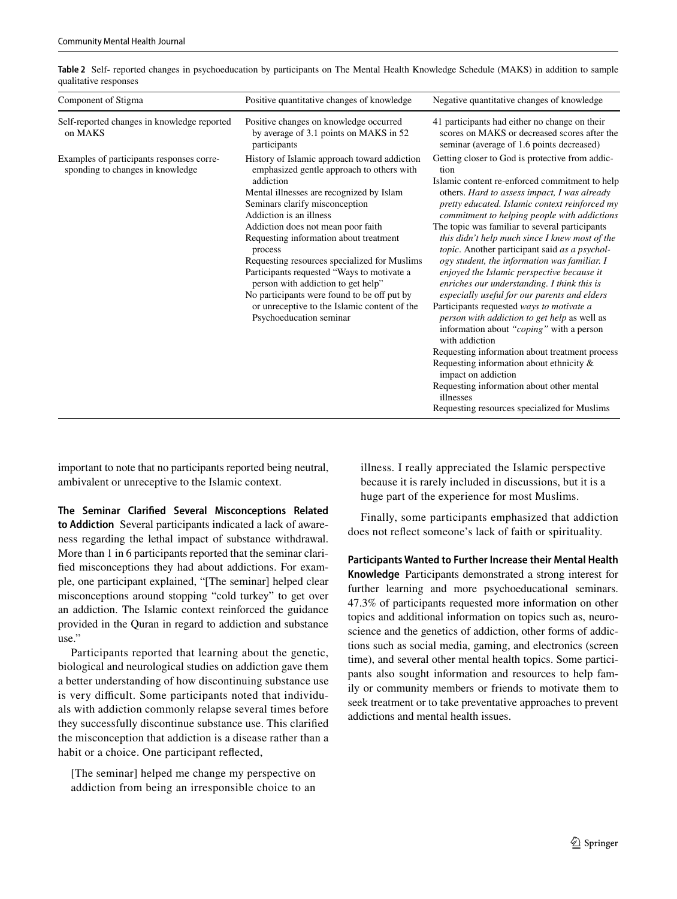| Component of Stigma                                                           | Positive quantitative changes of knowledge                                                                                                                                                                                                                                                                                                                                                                                                                                                                                                                               | Negative quantitative changes of knowledge                                                                                                                                                                                                                                                                                                                                                                                                                                                                                                                                                                                                                                                                                                                                                                                                                                                                                                                                                                 |
|-------------------------------------------------------------------------------|--------------------------------------------------------------------------------------------------------------------------------------------------------------------------------------------------------------------------------------------------------------------------------------------------------------------------------------------------------------------------------------------------------------------------------------------------------------------------------------------------------------------------------------------------------------------------|------------------------------------------------------------------------------------------------------------------------------------------------------------------------------------------------------------------------------------------------------------------------------------------------------------------------------------------------------------------------------------------------------------------------------------------------------------------------------------------------------------------------------------------------------------------------------------------------------------------------------------------------------------------------------------------------------------------------------------------------------------------------------------------------------------------------------------------------------------------------------------------------------------------------------------------------------------------------------------------------------------|
| Self-reported changes in knowledge reported<br>on MAKS                        | Positive changes on knowledge occurred<br>by average of 3.1 points on MAKS in 52<br>participants                                                                                                                                                                                                                                                                                                                                                                                                                                                                         | 41 participants had either no change on their<br>scores on MAKS or decreased scores after the<br>seminar (average of 1.6 points decreased)                                                                                                                                                                                                                                                                                                                                                                                                                                                                                                                                                                                                                                                                                                                                                                                                                                                                 |
| Examples of participants responses corre-<br>sponding to changes in knowledge | History of Islamic approach toward addiction<br>emphasized gentle approach to others with<br>addiction<br>Mental illnesses are recognized by Islam<br>Seminars clarify misconception<br>Addiction is an illness<br>Addiction does not mean poor faith<br>Requesting information about treatment<br>process<br>Requesting resources specialized for Muslims<br>Participants requested "Ways to motivate a<br>person with addiction to get help"<br>No participants were found to be off put by<br>or unreceptive to the Islamic content of the<br>Psychoeducation seminar | Getting closer to God is protective from addic-<br>tion<br>Islamic content re-enforced commitment to help<br>others. Hard to assess impact, I was already<br>pretty educated. Islamic context reinforced my<br>commitment to helping people with addictions<br>The topic was familiar to several participants<br>this didn't help much since I knew most of the<br>topic. Another participant said as a psychol-<br>ogy student, the information was familiar. I<br>enjoyed the Islamic perspective because it<br>enriches our understanding. I think this is<br>especially useful for our parents and elders<br>Participants requested ways to motivate a<br>person with addiction to get help as well as<br>information about "coping" with a person<br>with addiction<br>Requesting information about treatment process<br>Requesting information about ethnicity $\&$<br>impact on addiction<br>Requesting information about other mental<br>illnesses<br>Requesting resources specialized for Muslims |

<span id="page-4-0"></span>**Table 2** Self- reported changes in psychoeducation by participants on The Mental Health Knowledge Schedule (MAKS) in addition to sample qualitative responses

important to note that no participants reported being neutral, ambivalent or unreceptive to the Islamic context.

**The Seminar Clarifed Several Misconceptions Related to Addiction** Several participants indicated a lack of awareness regarding the lethal impact of substance withdrawal. More than 1 in 6 participants reported that the seminar clarifed misconceptions they had about addictions. For example, one participant explained, "[The seminar] helped clear misconceptions around stopping "cold turkey" to get over an addiction. The Islamic context reinforced the guidance provided in the Quran in regard to addiction and substance use."

Participants reported that learning about the genetic, biological and neurological studies on addiction gave them a better understanding of how discontinuing substance use is very difficult. Some participants noted that individuals with addiction commonly relapse several times before they successfully discontinue substance use. This clarifed the misconception that addiction is a disease rather than a habit or a choice. One participant refected,

[The seminar] helped me change my perspective on addiction from being an irresponsible choice to an illness. I really appreciated the Islamic perspective because it is rarely included in discussions, but it is a huge part of the experience for most Muslims.

Finally, some participants emphasized that addiction does not refect someone's lack of faith or spirituality.

**Participants Wanted to Further Increase their Mental Health Knowledge** Participants demonstrated a strong interest for further learning and more psychoeducational seminars. 47.3% of participants requested more information on other topics and additional information on topics such as, neuroscience and the genetics of addiction, other forms of addictions such as social media, gaming, and electronics (screen time), and several other mental health topics. Some participants also sought information and resources to help family or community members or friends to motivate them to seek treatment or to take preventative approaches to prevent addictions and mental health issues.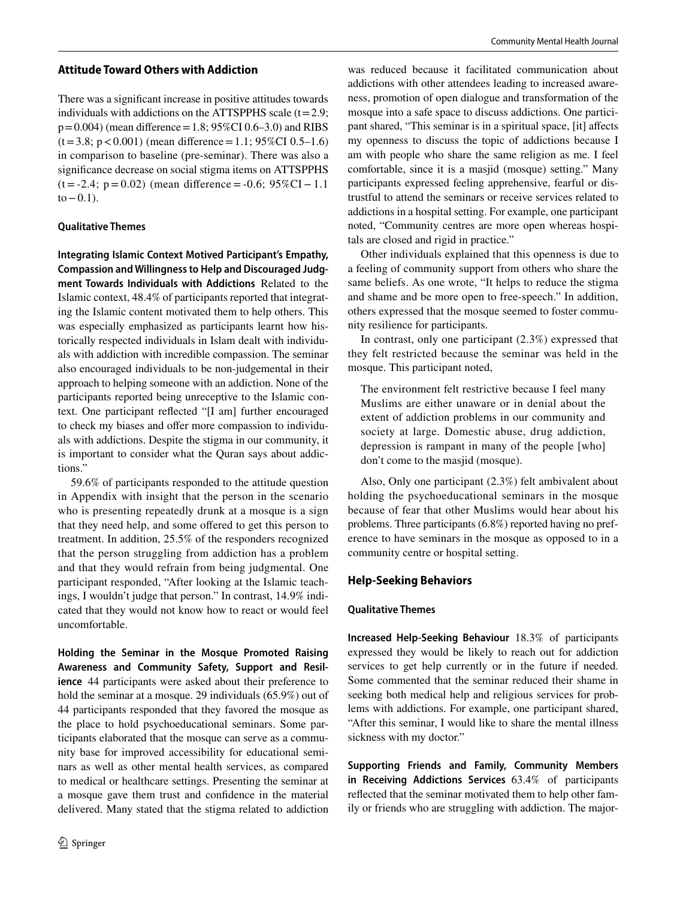#### **Attitude Toward Others with Addiction**

There was a signifcant increase in positive attitudes towards individuals with addictions on the ATTSPPHS scale  $(t=2.9;$  $p=0.004$ ) (mean difference = 1.8; 95%CI 0.6–3.0) and RIBS  $(t=3.8; p<0.001)$  (mean difference = 1.1; 95%CI 0.5–1.6) in comparison to baseline (pre-seminar). There was also a signifcance decrease on social stigma items on ATTSPPHS  $(t = -2.4; p = 0.02)$  (mean difference = -0.6; 95%CI – 1.1)  $to -0.1$ ).

#### **Qualitative Themes**

**Integrating Islamic Context Motived Participant's Empathy, Compassion and Willingness to Help and Discouraged Judg‑ ment Towards Individuals with Addictions** Related to the Islamic context, 48.4% of participants reported that integrating the Islamic content motivated them to help others. This was especially emphasized as participants learnt how historically respected individuals in Islam dealt with individuals with addiction with incredible compassion. The seminar also encouraged individuals to be non-judgemental in their approach to helping someone with an addiction. None of the participants reported being unreceptive to the Islamic context. One participant refected "[I am] further encouraged to check my biases and offer more compassion to individuals with addictions. Despite the stigma in our community, it is important to consider what the Quran says about addictions."

59.6% of participants responded to the attitude question in Appendix with insight that the person in the scenario who is presenting repeatedly drunk at a mosque is a sign that they need help, and some offered to get this person to treatment. In addition, 25.5% of the responders recognized that the person struggling from addiction has a problem and that they would refrain from being judgmental. One participant responded, "After looking at the Islamic teachings, I wouldn't judge that person." In contrast, 14.9% indicated that they would not know how to react or would feel uncomfortable.

**Holding the Seminar in the Mosque Promoted Raising Awareness and Community Safety, Support and Resil‑ ience** 44 participants were asked about their preference to hold the seminar at a mosque. 29 individuals (65.9%) out of 44 participants responded that they favored the mosque as the place to hold psychoeducational seminars. Some participants elaborated that the mosque can serve as a community base for improved accessibility for educational seminars as well as other mental health services, as compared to medical or healthcare settings. Presenting the seminar at a mosque gave them trust and confdence in the material delivered. Many stated that the stigma related to addiction was reduced because it facilitated communication about addictions with other attendees leading to increased awareness, promotion of open dialogue and transformation of the mosque into a safe space to discuss addictions. One participant shared, "This seminar is in a spiritual space, [it] affects my openness to discuss the topic of addictions because I am with people who share the same religion as me. I feel comfortable, since it is a masjid (mosque) setting." Many participants expressed feeling apprehensive, fearful or distrustful to attend the seminars or receive services related to addictions in a hospital setting. For example, one participant noted, "Community centres are more open whereas hospitals are closed and rigid in practice."

Other individuals explained that this openness is due to a feeling of community support from others who share the same beliefs. As one wrote, "It helps to reduce the stigma and shame and be more open to free-speech." In addition, others expressed that the mosque seemed to foster community resilience for participants.

In contrast, only one participant (2.3%) expressed that they felt restricted because the seminar was held in the mosque. This participant noted,

The environment felt restrictive because I feel many Muslims are either unaware or in denial about the extent of addiction problems in our community and society at large. Domestic abuse, drug addiction, depression is rampant in many of the people [who] don't come to the masjid (mosque).

Also, Only one participant (2.3%) felt ambivalent about holding the psychoeducational seminars in the mosque because of fear that other Muslims would hear about his problems. Three participants (6.8%) reported having no preference to have seminars in the mosque as opposed to in a community centre or hospital setting.

## **Help‑Seeking Behaviors**

## **Qualitative Themes**

**Increased Help‑Seeking Behaviour** 18.3% of participants expressed they would be likely to reach out for addiction services to get help currently or in the future if needed. Some commented that the seminar reduced their shame in seeking both medical help and religious services for problems with addictions. For example, one participant shared, "After this seminar, I would like to share the mental illness sickness with my doctor."

**Supporting Friends and Family, Community Members in Receiving Addictions Services** 63.4% of participants refected that the seminar motivated them to help other family or friends who are struggling with addiction. The major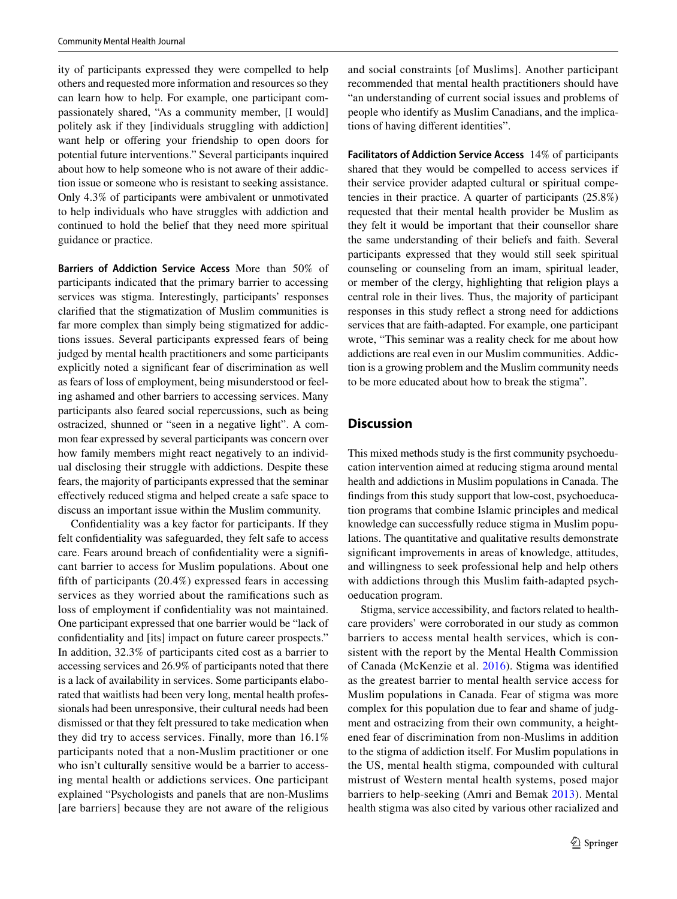ity of participants expressed they were compelled to help others and requested more information and resources so they can learn how to help. For example, one participant compassionately shared, "As a community member, [I would] politely ask if they [individuals struggling with addiction] want help or offering your friendship to open doors for potential future interventions." Several participants inquired about how to help someone who is not aware of their addiction issue or someone who is resistant to seeking assistance. Only 4.3% of participants were ambivalent or unmotivated to help individuals who have struggles with addiction and continued to hold the belief that they need more spiritual guidance or practice.

**Barriers of Addiction Service Access** More than 50% of participants indicated that the primary barrier to accessing services was stigma. Interestingly, participants' responses clarifed that the stigmatization of Muslim communities is far more complex than simply being stigmatized for addictions issues. Several participants expressed fears of being judged by mental health practitioners and some participants explicitly noted a signifcant fear of discrimination as well as fears of loss of employment, being misunderstood or feeling ashamed and other barriers to accessing services. Many participants also feared social repercussions, such as being ostracized, shunned or "seen in a negative light". A common fear expressed by several participants was concern over how family members might react negatively to an individual disclosing their struggle with addictions. Despite these fears, the majority of participants expressed that the seminar efectively reduced stigma and helped create a safe space to discuss an important issue within the Muslim community.

Confdentiality was a key factor for participants. If they felt confdentiality was safeguarded, they felt safe to access care. Fears around breach of confdentiality were a signifcant barrier to access for Muslim populations. About one ffth of participants (20.4%) expressed fears in accessing services as they worried about the ramifcations such as loss of employment if confdentiality was not maintained. One participant expressed that one barrier would be "lack of confdentiality and [its] impact on future career prospects." In addition, 32.3% of participants cited cost as a barrier to accessing services and 26.9% of participants noted that there is a lack of availability in services. Some participants elaborated that waitlists had been very long, mental health professionals had been unresponsive, their cultural needs had been dismissed or that they felt pressured to take medication when they did try to access services. Finally, more than 16.1% participants noted that a non-Muslim practitioner or one who isn't culturally sensitive would be a barrier to accessing mental health or addictions services. One participant explained "Psychologists and panels that are non-Muslims [are barriers] because they are not aware of the religious and social constraints [of Muslims]. Another participant recommended that mental health practitioners should have "an understanding of current social issues and problems of people who identify as Muslim Canadians, and the implications of having diferent identities".

**Facilitators of Addiction Service Access** 14% of participants shared that they would be compelled to access services if their service provider adapted cultural or spiritual competencies in their practice. A quarter of participants (25.8%) requested that their mental health provider be Muslim as they felt it would be important that their counsellor share the same understanding of their beliefs and faith. Several participants expressed that they would still seek spiritual counseling or counseling from an imam, spiritual leader, or member of the clergy, highlighting that religion plays a central role in their lives. Thus, the majority of participant responses in this study refect a strong need for addictions services that are faith-adapted. For example, one participant wrote, "This seminar was a reality check for me about how addictions are real even in our Muslim communities. Addiction is a growing problem and the Muslim community needs to be more educated about how to break the stigma".

## **Discussion**

This mixed methods study is the frst community psychoeducation intervention aimed at reducing stigma around mental health and addictions in Muslim populations in Canada. The fndings from this study support that low-cost, psychoeducation programs that combine Islamic principles and medical knowledge can successfully reduce stigma in Muslim populations. The quantitative and qualitative results demonstrate signifcant improvements in areas of knowledge, attitudes, and willingness to seek professional help and help others with addictions through this Muslim faith-adapted psychoeducation program.

Stigma, service accessibility, and factors related to healthcare providers' were corroborated in our study as common barriers to access mental health services, which is consistent with the report by the Mental Health Commission of Canada (McKenzie et al. [2016](#page-9-24)). Stigma was identifed as the greatest barrier to mental health service access for Muslim populations in Canada. Fear of stigma was more complex for this population due to fear and shame of judgment and ostracizing from their own community, a heightened fear of discrimination from non-Muslims in addition to the stigma of addiction itself. For Muslim populations in the US, mental health stigma, compounded with cultural mistrust of Western mental health systems, posed major barriers to help-seeking (Amri and Bemak [2013](#page-9-25)). Mental health stigma was also cited by various other racialized and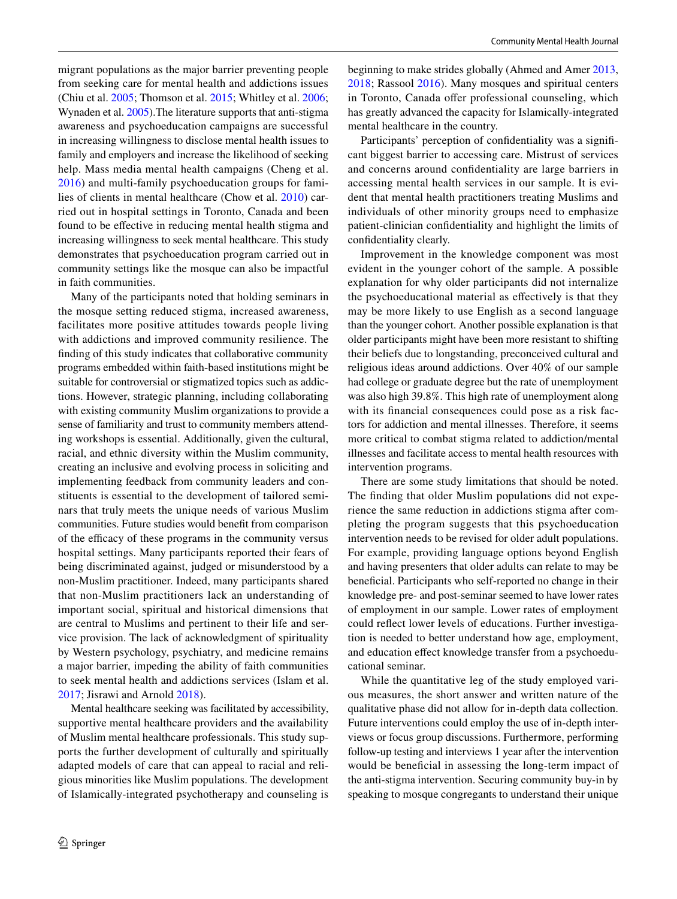migrant populations as the major barrier preventing people from seeking care for mental health and addictions issues (Chiu et al. [2005;](#page-9-26) Thomson et al. [2015;](#page-9-27) Whitley et al. [2006](#page-10-3); Wynaden et al. [2005](#page-10-4)).The literature supports that anti-stigma awareness and psychoeducation campaigns are successful in increasing willingness to disclose mental health issues to family and employers and increase the likelihood of seeking help. Mass media mental health campaigns (Cheng et al. [2016\)](#page-9-28) and multi-family psychoeducation groups for families of clients in mental healthcare (Chow et al. [2010](#page-9-29)) carried out in hospital settings in Toronto, Canada and been found to be efective in reducing mental health stigma and increasing willingness to seek mental healthcare. This study demonstrates that psychoeducation program carried out in community settings like the mosque can also be impactful in faith communities.

Many of the participants noted that holding seminars in the mosque setting reduced stigma, increased awareness, facilitates more positive attitudes towards people living with addictions and improved community resilience. The fnding of this study indicates that collaborative community programs embedded within faith-based institutions might be suitable for controversial or stigmatized topics such as addictions. However, strategic planning, including collaborating with existing community Muslim organizations to provide a sense of familiarity and trust to community members attending workshops is essential. Additionally, given the cultural, racial, and ethnic diversity within the Muslim community, creating an inclusive and evolving process in soliciting and implementing feedback from community leaders and constituents is essential to the development of tailored seminars that truly meets the unique needs of various Muslim communities. Future studies would beneft from comparison of the efficacy of these programs in the community versus hospital settings. Many participants reported their fears of being discriminated against, judged or misunderstood by a non-Muslim practitioner. Indeed, many participants shared that non-Muslim practitioners lack an understanding of important social, spiritual and historical dimensions that are central to Muslims and pertinent to their life and service provision. The lack of acknowledgment of spirituality by Western psychology, psychiatry, and medicine remains a major barrier, impeding the ability of faith communities to seek mental health and addictions services (Islam et al. [2017](#page-9-30); Jisrawi and Arnold [2018\)](#page-9-2).

Mental healthcare seeking was facilitated by accessibility, supportive mental healthcare providers and the availability of Muslim mental healthcare professionals. This study supports the further development of culturally and spiritually adapted models of care that can appeal to racial and religious minorities like Muslim populations. The development of Islamically-integrated psychotherapy and counseling is beginning to make strides globally (Ahmed and Amer [2013,](#page-9-31) [2018;](#page-9-32) Rassool [2016\)](#page-9-33). Many mosques and spiritual centers in Toronto, Canada offer professional counseling, which has greatly advanced the capacity for Islamically-integrated mental healthcare in the country.

Participants' perception of confidentiality was a significant biggest barrier to accessing care. Mistrust of services and concerns around confdentiality are large barriers in accessing mental health services in our sample. It is evident that mental health practitioners treating Muslims and individuals of other minority groups need to emphasize patient-clinician confdentiality and highlight the limits of confdentiality clearly.

Improvement in the knowledge component was most evident in the younger cohort of the sample. A possible explanation for why older participants did not internalize the psychoeducational material as efectively is that they may be more likely to use English as a second language than the younger cohort. Another possible explanation is that older participants might have been more resistant to shifting their beliefs due to longstanding, preconceived cultural and religious ideas around addictions. Over 40% of our sample had college or graduate degree but the rate of unemployment was also high 39.8%. This high rate of unemployment along with its financial consequences could pose as a risk factors for addiction and mental illnesses. Therefore, it seems more critical to combat stigma related to addiction/mental illnesses and facilitate access to mental health resources with intervention programs.

There are some study limitations that should be noted. The fnding that older Muslim populations did not experience the same reduction in addictions stigma after completing the program suggests that this psychoeducation intervention needs to be revised for older adult populations. For example, providing language options beyond English and having presenters that older adults can relate to may be beneficial. Participants who self-reported no change in their knowledge pre- and post-seminar seemed to have lower rates of employment in our sample. Lower rates of employment could refect lower levels of educations. Further investigation is needed to better understand how age, employment, and education efect knowledge transfer from a psychoeducational seminar.

While the quantitative leg of the study employed various measures, the short answer and written nature of the qualitative phase did not allow for in-depth data collection. Future interventions could employ the use of in-depth interviews or focus group discussions. Furthermore, performing follow-up testing and interviews 1 year after the intervention would be beneficial in assessing the long-term impact of the anti-stigma intervention. Securing community buy-in by speaking to mosque congregants to understand their unique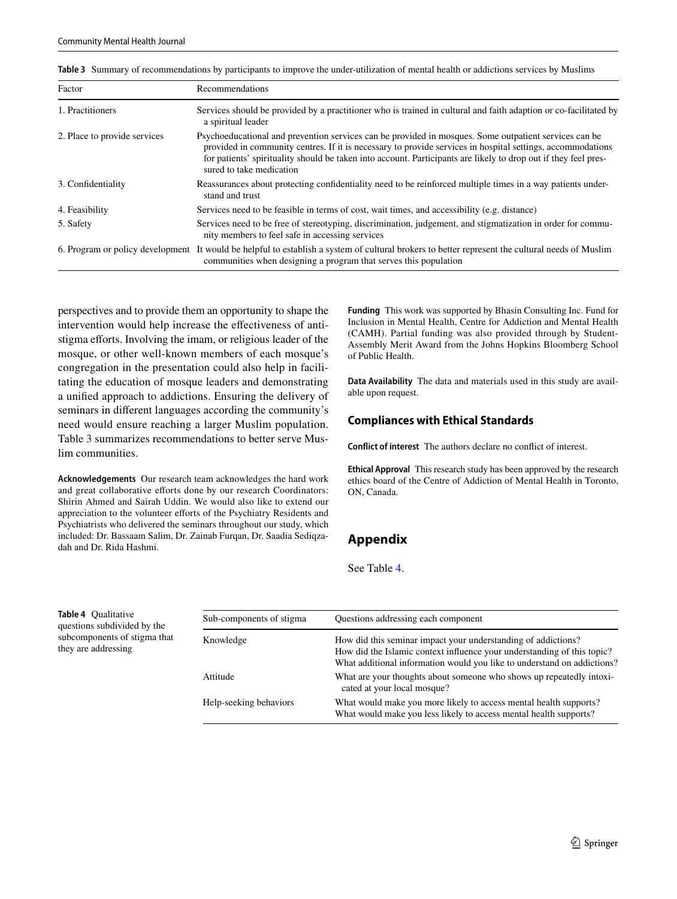<span id="page-8-0"></span>

| Table 3 Summary of recommendations by participants to improve the under-utilization of mental health or addictions services by Muslims |  |
|----------------------------------------------------------------------------------------------------------------------------------------|--|
|----------------------------------------------------------------------------------------------------------------------------------------|--|

| Factor                       | Recommendations                                                                                                                                                                                                                                                                                                                                                    |
|------------------------------|--------------------------------------------------------------------------------------------------------------------------------------------------------------------------------------------------------------------------------------------------------------------------------------------------------------------------------------------------------------------|
| 1. Practitioners             | Services should be provided by a practitioner who is trained in cultural and faith adaption or co-facilitated by<br>a spiritual leader                                                                                                                                                                                                                             |
| 2. Place to provide services | Psychoeducational and prevention services can be provided in mosques. Some outpatient services can be<br>provided in community centres. If it is necessary to provide services in hospital settings, accommodations<br>for patients' spirituality should be taken into account. Participants are likely to drop out if they feel pres-<br>sured to take medication |
| 3. Confidentiality           | Reassurances about protecting confidentiality need to be reinforced multiple times in a way patients under-<br>stand and trust                                                                                                                                                                                                                                     |
| 4. Feasibility               | Services need to be feasible in terms of cost, wait times, and accessibility (e.g. distance)                                                                                                                                                                                                                                                                       |
| 5. Safety                    | Services need to be free of stereotyping, discrimination, judgement, and stigmatization in order for commu-<br>nity members to feel safe in accessing services                                                                                                                                                                                                     |
|                              | 6. Program or policy development It would be helpful to establish a system of cultural brokers to better represent the cultural needs of Muslim<br>communities when designing a program that serves this population                                                                                                                                                |

perspectives and to provide them an opportunity to shape the intervention would help increase the efectiveness of antistigma efforts. Involving the imam, or religious leader of the mosque, or other well-known members of each mosque's congregation in the presentation could also help in facilitating the education of mosque leaders and demonstrating a unifed approach to addictions. Ensuring the delivery of seminars in diferent languages according the community's need would ensure reaching a larger Muslim population. Table [3](#page-8-0) summarizes recommendations to better serve Muslim communities.

**Acknowledgements** Our research team acknowledges the hard work and great collaborative efforts done by our research Coordinators: Shirin Ahmed and Sairah Uddin. We would also like to extend our appreciation to the volunteer efforts of the Psychiatry Residents and Psychiatrists who delivered the seminars throughout our study, which included: Dr. Bassaam Salim, Dr. Zainab Furqan, Dr. Saadia Sediqzadah and Dr. Rida Hashmi.

**Funding** This work was supported by Bhasin Consulting Inc. Fund for Inclusion in Mental Health, Centre for Addiction and Mental Health (CAMH). Partial funding was also provided through by Student-Assembly Merit Award from the Johns Hopkins Bloomberg School of Public Health.

**Data Availability** The data and materials used in this study are available upon request.

#### **Compliances with Ethical Standards**

**Conflict of interest** The authors declare no confict of interest.

**Ethical Approval** This research study has been approved by the research ethics board of the Centre of Addiction of Mental Health in Toronto, ON, Canada.

# **Appendix**

See Table [4](#page-8-1).

| Sub-components of stigma | Questions addressing each component                                                                                                                                                                                 |
|--------------------------|---------------------------------------------------------------------------------------------------------------------------------------------------------------------------------------------------------------------|
| Knowledge                | How did this seminar impact your understanding of addictions?<br>How did the Islamic context influence your understanding of this topic?<br>What additional information would you like to understand on addictions? |
| Attitude                 | What are your thoughts about someone who shows up repeatedly intoxi-<br>cated at your local mosque?                                                                                                                 |
| Help-seeking behaviors   | What would make you more likely to access mental health supports?<br>What would make you less likely to access mental health supports?                                                                              |

<span id="page-8-1"></span>**Table 4** Qualitative questions subdivided by the subcomponents of stigma that they are addressing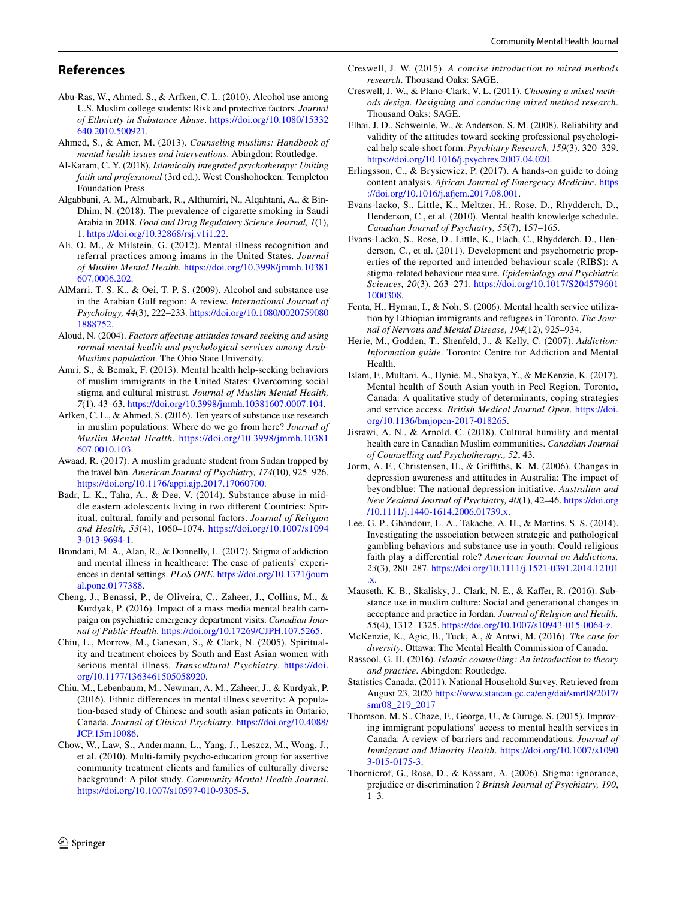#### **References**

- <span id="page-9-1"></span>Abu-Ras, W., Ahmed, S., & Arfken, C. L. (2010). Alcohol use among U.S. Muslim college students: Risk and protective factors. *Journal of Ethnicity in Substance Abuse*. [https://doi.org/10.1080/15332](https://doi.org/10.1080/15332640.2010.500921) [640.2010.500921](https://doi.org/10.1080/15332640.2010.500921).
- <span id="page-9-31"></span>Ahmed, S., & Amer, M. (2013). *Counseling muslims: Handbook of mental health issues and interventions*. Abingdon: Routledge.
- <span id="page-9-32"></span>Al-Karam, C. Y. (2018). *Islamically integrated psychotherapy: Uniting faith and professional* (3rd ed.). West Conshohocken: Templeton Foundation Press.
- <span id="page-9-3"></span>Algabbani, A. M., Almubark, R., Althumiri, N., Alqahtani, A., & Bin-Dhim, N. (2018). The prevalence of cigarette smoking in Saudi Arabia in 2018. *Food and Drug Regulatory Science Journal, 1*(1), 1. [https://doi.org/10.32868/rsj.v1i1.22.](https://doi.org/10.32868/rsj.v1i1.22)
- <span id="page-9-13"></span>Ali, O. M., & Milstein, G. (2012). Mental illness recognition and referral practices among imams in the United States. *Journal of Muslim Mental Health*. [https://doi.org/10.3998/jmmh.10381](https://doi.org/10.3998/jmmh.10381607.0006.202) [607.0006.202](https://doi.org/10.3998/jmmh.10381607.0006.202).
- <span id="page-9-4"></span>AlMarri, T. S. K., & Oei, T. P. S. (2009). Alcohol and substance use in the Arabian Gulf region: A review. *International Journal of Psychology, 44*(3), 222–233. [https://doi.org/10.1080/0020759080](https://doi.org/10.1080/00207590801888752) [1888752](https://doi.org/10.1080/00207590801888752).
- <span id="page-9-22"></span>Aloud, N. (2004). *Factors afecting attitudes toward seeking and using rormal mental health and psychological services among Arab-Muslims population*. The Ohio State University.
- <span id="page-9-25"></span>Amri, S., & Bemak, F. (2013). Mental health help-seeking behaviors of muslim immigrants in the United States: Overcoming social stigma and cultural mistrust. *Journal of Muslim Mental Health, 7*(1), 43–63.<https://doi.org/10.3998/jmmh.10381607.0007.104>.
- <span id="page-9-5"></span>Arfken, C. L., & Ahmed, S. (2016). Ten years of substance use research in muslim populations: Where do we go from here? *Journal of Muslim Mental Health*. [https://doi.org/10.3998/jmmh.10381](https://doi.org/10.3998/jmmh.10381607.0010.103) [607.0010.103](https://doi.org/10.3998/jmmh.10381607.0010.103).
- <span id="page-9-15"></span>Awaad, R. (2017). A muslim graduate student from Sudan trapped by the travel ban. *American Journal of Psychiatry, 174*(10), 925–926. <https://doi.org/10.1176/appi.ajp.2017.17060700>.
- <span id="page-9-7"></span>Badr, L. K., Taha, A., & Dee, V. (2014). Substance abuse in middle eastern adolescents living in two diferent Countries: Spiritual, cultural, family and personal factors. *Journal of Religion and Health, 53*(4), 1060–1074. [https://doi.org/10.1007/s1094](https://doi.org/10.1007/s10943-013-9694-1) [3-013-9694-1](https://doi.org/10.1007/s10943-013-9694-1).
- <span id="page-9-12"></span>Brondani, M. A., Alan, R., & Donnelly, L. (2017). Stigma of addiction and mental illness in healthcare: The case of patients' experiences in dental settings. *PLoS ONE*. [https://doi.org/10.1371/journ](https://doi.org/10.1371/journal.pone.0177388) [al.pone.0177388](https://doi.org/10.1371/journal.pone.0177388).
- <span id="page-9-28"></span>Cheng, J., Benassi, P., de Oliveira, C., Zaheer, J., Collins, M., & Kurdyak, P. (2016). Impact of a mass media mental health campaign on psychiatric emergency department visits. *Canadian Journal of Public Health*. [https://doi.org/10.17269/CJPH.107.5265.](https://doi.org/10.17269/CJPH.107.5265)
- <span id="page-9-26"></span>Chiu, L., Morrow, M., Ganesan, S., & Clark, N. (2005). Spirituality and treatment choices by South and East Asian women with serious mental illness. *Transcultural Psychiatry*. [https://doi.](https://doi.org/10.1177/1363461505058920) [org/10.1177/1363461505058920.](https://doi.org/10.1177/1363461505058920)
- <span id="page-9-9"></span>Chiu, M., Lebenbaum, M., Newman, A. M., Zaheer, J., & Kurdyak, P. (2016). Ethnic diferences in mental illness severity: A population-based study of Chinese and south asian patients in Ontario, Canada. *Journal of Clinical Psychiatry*. [https://doi.org/10.4088/](https://doi.org/10.4088/JCP.15m10086) [JCP.15m10086.](https://doi.org/10.4088/JCP.15m10086)
- <span id="page-9-29"></span>Chow, W., Law, S., Andermann, L., Yang, J., Leszcz, M., Wong, J., et al. (2010). Multi-family psycho-education group for assertive community treatment clients and families of culturally diverse background: A pilot study. *Community Mental Health Journal*. [https://doi.org/10.1007/s10597-010-9305-5.](https://doi.org/10.1007/s10597-010-9305-5)
- <span id="page-9-17"></span>Creswell, J. W. (2015). *A concise introduction to mixed methods research*. Thousand Oaks: SAGE.
- <span id="page-9-18"></span>Creswell, J. W., & Plano-Clark, V. L. (2011). *Choosing a mixed methods design. Designing and conducting mixed method research*. Thousand Oaks: SAGE.
- <span id="page-9-21"></span>Elhai, J. D., Schweinle, W., & Anderson, S. M. (2008). Reliability and validity of the attitudes toward seeking professional psychological help scale-short form. *Psychiatry Research, 159*(3), 320–329. [https://doi.org/10.1016/j.psychres.2007.04.020.](https://doi.org/10.1016/j.psychres.2007.04.020)
- <span id="page-9-23"></span>Erlingsson, C., & Brysiewicz, P. (2017). A hands-on guide to doing content analysis. *African Journal of Emergency Medicine*. [https](https://doi.org/10.1016/j.afjem.2017.08.001) [://doi.org/10.1016/j.afem.2017.08.001](https://doi.org/10.1016/j.afjem.2017.08.001).
- <span id="page-9-19"></span>Evans-lacko, S., Little, K., Meltzer, H., Rose, D., Rhydderch, D., Henderson, C., et al. (2010). Mental health knowledge schedule. *Canadian Journal of Psychiatry, 55*(7), 157–165.
- <span id="page-9-20"></span>Evans-Lacko, S., Rose, D., Little, K., Flach, C., Rhydderch, D., Henderson, C., et al. (2011). Development and psychometric properties of the reported and intended behaviour scale (RIBS): A stigma-related behaviour measure. *Epidemiology and Psychiatric Sciences, 20*(3), 263–271. [https://doi.org/10.1017/S204579601](https://doi.org/10.1017/S2045796011000308) [1000308](https://doi.org/10.1017/S2045796011000308).
- <span id="page-9-8"></span>Fenta, H., Hyman, I., & Noh, S. (2006). Mental health service utilization by Ethiopian immigrants and refugees in Toronto. *The Journal of Nervous and Mental Disease, 194*(12), 925–934.
- <span id="page-9-16"></span>Herie, M., Godden, T., Shenfeld, J., & Kelly, C. (2007). *Addiction: Information guide*. Toronto: Centre for Addiction and Mental Health.
- <span id="page-9-30"></span>Islam, F., Multani, A., Hynie, M., Shakya, Y., & McKenzie, K. (2017). Mental health of South Asian youth in Peel Region, Toronto, Canada: A qualitative study of determinants, coping strategies and service access. *British Medical Journal Open*. [https://doi.](https://doi.org/10.1136/bmjopen-2017-018265) [org/10.1136/bmjopen-2017-018265.](https://doi.org/10.1136/bmjopen-2017-018265)
- <span id="page-9-2"></span>Jisrawi, A. N., & Arnold, C. (2018). Cultural humility and mental health care in Canadian Muslim communities. *Canadian Journal of Counselling and Psychotherapy., 52*, 43.
- <span id="page-9-14"></span>Jorm, A. F., Christensen, H., & Grifths, K. M. (2006). Changes in depression awareness and attitudes in Australia: The impact of beyondblue: The national depression initiative. *Australian and New Zealand Journal of Psychiatry, 40*(1), 42–46. [https://doi.org](https://doi.org/10.1111/j.1440-1614.2006.01739.x) [/10.1111/j.1440-1614.2006.01739.x](https://doi.org/10.1111/j.1440-1614.2006.01739.x).
- <span id="page-9-6"></span>Lee, G. P., Ghandour, L. A., Takache, A. H., & Martins, S. S. (2014). Investigating the association between strategic and pathological gambling behaviors and substance use in youth: Could religious faith play a diferential role? *American Journal on Addictions, 23*(3), 280–287. [https://doi.org/10.1111/j.1521-0391.2014.12101](https://doi.org/10.1111/j.1521-0391.2014.12101.x) [.x.](https://doi.org/10.1111/j.1521-0391.2014.12101.x)
- <span id="page-9-10"></span>Mauseth, K. B., Skalisky, J., Clark, N. E., & Kafer, R. (2016). Substance use in muslim culture: Social and generational changes in acceptance and practice in Jordan. *Journal of Religion and Health, 55*(4), 1312–1325. <https://doi.org/10.1007/s10943-015-0064-z>.
- <span id="page-9-24"></span>McKenzie, K., Agic, B., Tuck, A., & Antwi, M. (2016). *The case for diversity*. Ottawa: The Mental Health Commission of Canada.
- <span id="page-9-33"></span>Rassool, G. H. (2016). *Islamic counselling: An introduction to theory and practice*. Abingdon: Routledge.
- <span id="page-9-0"></span>Statistics Canada. (2011). National Household Survey. Retrieved from August 23, 2020 [https://www.statcan.gc.ca/eng/dai/smr08/2017/](https://www.statcan.gc.ca/eng/dai/smr08/2017/smr08_219_2017) [smr08\\_219\\_2017](https://www.statcan.gc.ca/eng/dai/smr08/2017/smr08_219_2017)
- <span id="page-9-27"></span>Thomson, M. S., Chaze, F., George, U., & Guruge, S. (2015). Improving immigrant populations' access to mental health services in Canada: A review of barriers and recommendations. *Journal of Immigrant and Minority Health*. [https://doi.org/10.1007/s1090](https://doi.org/10.1007/s10903-015-0175-3) [3-015-0175-3](https://doi.org/10.1007/s10903-015-0175-3).
- <span id="page-9-11"></span>Thornicrof, G., Rose, D., & Kassam, A. (2006). Stigma: ignorance, prejudice or discrimination ? *British Journal of Psychiatry, 190*,  $1 - 3$ .